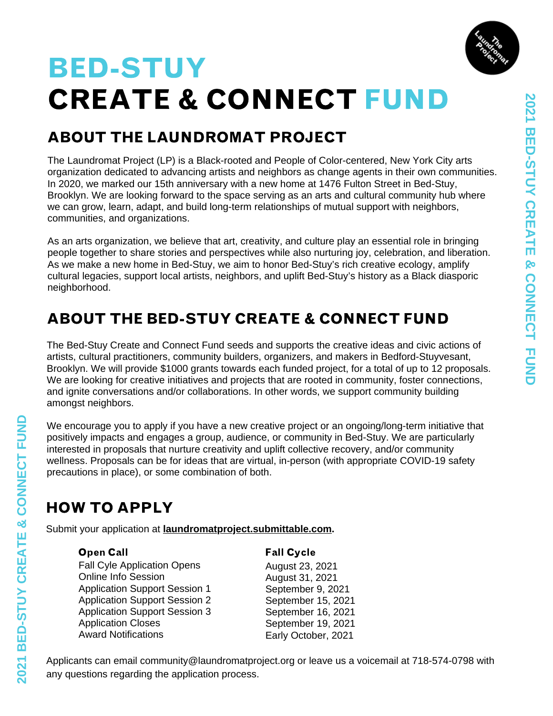

# CREATE & CONNECT FUND BED-STUY

## ABOUT THE LAUNDROMAT PROJECT

The Laundromat Project (LP) is a Black-rooted and People of Color-centered, New York City arts organization dedicated to advancing artists and neighbors as change agents in their own communities. In 2020, we marked our 15th anniversary with a new home at 1476 Fulton Street in Bed-Stuy, Brooklyn. We are looking forward to the space serving as an arts and cultural community hub where we can grow, learn, adapt, and build long-term relationships of mutual support with neighbors, communities, and organizations.

As an arts organization, we believe that art, creativity, and culture play an essential role in bringing people together to share stories and perspectives while also nurturing joy, celebration, and liberation. As we make a new home in Bed-Stuy, we aim to honor Bed-Stuy's rich creative ecology, amplify cultural legacies, support local artists, neighbors, and uplift Bed-Stuy's history as a Black diasporic neighborhood.

#### ABOUT THE BED-STUY CREATE & CONNECT FUND

The Bed-Stuy Create and Connect Fund seeds and supports the creative ideas and civic actions of artists, cultural practitioners, community builders, organizers, and makers in Bedford-Stuyvesant, Brooklyn. We will provide \$1000 grants towards each funded project, for a total of up to 12 proposals. We are looking for creative initiatives and projects that are rooted in community, foster connections, and ignite conversations and/or collaborations. In other words, we support community building amongst neighbors.

We encourage you to apply if you have a new creative project or an ongoing/long-term initiative that positively impacts and engages a group, audience, or community in Bed-Stuy. We are particularly interested in proposals that nurture creativity and uplift collective recovery, and/or community wellness. Proposals can be for ideas that are virtual, in-person (with appropriate COVID-19 safety precautions in place), or some combination of both.

### HOW TO APPLY

Submit your application at **[laundromatproject.submittable.com.](https://laundromatproject.submittable.com/submit)**

Fall Cyle Application Opens Online Info Session Application Support Session 1 Application Support Session 2 Application Support Session 3 Application Closes Award Notifications

Open Call **Call Cycle** 

August 23, 2021 August 31, 2021 September 9, 2021 September 15, 2021 September 16, 2021 September 19, 2021 Early October, 2021

Applicants can email community@laundromatproject.org or leave us a voicemail at 718-574-0798 with any questions regarding the application process.

**D**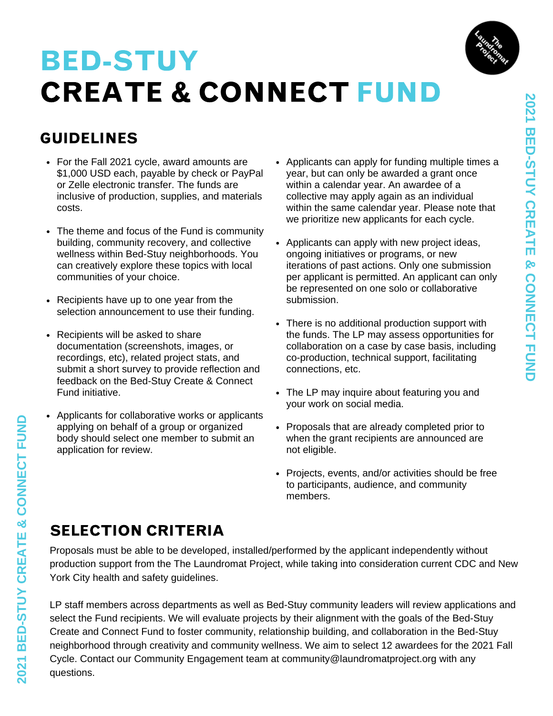

#### GUIDELINES

- For the Fall 2021 cycle, award amounts are \$1,000 USD each, payable by check or PayPal or Zelle electronic transfer. The funds are inclusive of production, supplies, and materials costs.
- The theme and focus of the Fund is community building, community recovery, and collective wellness within Bed-Stuy neighborhoods. You can creatively explore these topics with local communities of your choice.
- Recipients have up to one year from the selection announcement to use their funding.
- Recipients will be asked to share documentation (screenshots, images, or recordings, etc), related project stats, and submit a short survey to provide reflection and feedback on the Bed-Stuy Create & Connect Fund initiative.
- Applicants for collaborative works or applicants applying on behalf of a group or organized body should select one member to submit an application for review.
- Applicants can apply for funding multiple times a year, but can only be awarded a grant once within a calendar year. An awardee of a collective may apply again as an individual within the same calendar year. Please note that we prioritize new applicants for each cycle.
- Applicants can apply with new project ideas, ongoing initiatives or programs, or new iterations of past actions. Only one submission per applicant is permitted. An applicant can only be represented on one solo or collaborative submission.
- There is no additional production support with the funds. The LP may assess opportunities for collaboration on a case by case basis, including co-production, technical support, facilitating connections, etc.
- The LP may inquire about featuring you and your work on social media.
- Proposals that are already completed prior to when the grant recipients are announced are not eligible.
- Projects, events, and/or activities should be free to participants, audience, and community members.

#### SELECTION CRITERIA

Proposals must be able to be developed, installed/performed by the applicant independently without production support from the The Laundromat Project, while taking into consideration current CDC and New York City health and safety guidelines.

LP staff members across departments as well as Bed-Stuy community leaders will review applications and select the Fund recipients. We will evaluate projects by their alignment with the goals of the Bed-Stuy Create and Connect Fund to foster community, relationship building, and collaboration in the Bed-Stuy neighborhood through creativity and community wellness. We aim to select 12 awardees for the 2021 Fall Cycle. Contact our Community Engagement team at community@laundromatproject.org with any questions.

**D**